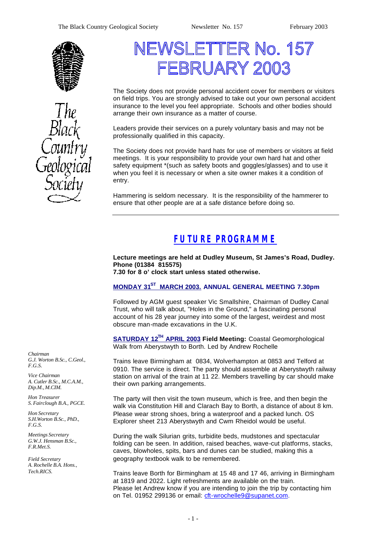



# NEWSLETTER No. 157 FBRUARY 2003

The Society does not provide personal accident cover for members or visitors on field trips. You are strongly advised to take out your own personal accident insurance to the level you feel appropriate. Schools and other bodies should arrange their own insurance as a matter of course.

Leaders provide their services on a purely voluntary basis and may not be professionally qualified in this capacity.

The Society does not provide hard hats for use of members or visitors at field meetings. It is your responsibility to provide your own hard hat and other safety equipment \*(such as safety boots and goggles/glasses) and to use it when you feel it is necessary or when a site owner makes it a condition of entry.

Hammering is seldom necessary. It is the responsibility of the hammerer to ensure that other people are at a safe distance before doing so.

# *FUTURE PROGRAMME*

**Lecture meetings are held at Dudley Museum, St James's Road, Dudley. Phone (01384 815575)**

**7.30 for 8 o' clock start unless stated otherwise.**

### **MONDAY 31ST MARCH 2003. ANNUAL GENERAL MEETING 7.30pm**

Followed by AGM guest speaker Vic Smallshire, Chairman of Dudley Canal Trust, who will talk about, "Holes in the Ground," a fascinating personal account of his 28 year journey into some of the largest, weirdest and most obscure man-made excavations in the U.K.

**SATURDAY 12TH APRIL 2003 Field Meeting:** Coastal Geomorphological Walk from Aberystwyth to Borth. Led by Andrew Rochelle

Trains leave Birmingham at 0834, Wolverhampton at 0853 and Telford at 0910. The service is direct. The party should assemble at Aberystwyth railway station on arrival of the train at 11 22. Members travelling by car should make their own parking arrangements.

The party will then visit the town museum, which is free, and then begin the walk via Constitution Hill and Clarach Bay to Borth, a distance of about 8 km. Please wear strong shoes, bring a waterproof and a packed lunch. OS Explorer sheet 213 Aberystwyth and Cwm Rheidol would be useful.

During the walk Silurian grits, turbidite beds, mudstones and spectacular folding can be seen. In addition, raised beaches, wave-cut platforms, stacks, caves, blowholes, spits, bars and dunes can be studied, making this a geography textbook walk to be remembered.

Trains leave Borth for Birmingham at 15 48 and 17 46, arriving in Birmingham at 1819 and 2022. Light refreshments are available on the train. Please let Andrew know if you are intending to join the trip by contacting him on Tel. 01952 299136 or email: cft-wrochelle9@supanet.com.

*Chairman G.J. Worton B.Sc., C.Geol., F.G.S.*

*Vice Chairman A. Cutler B.Sc., M.C.A.M., Dip.M., M.CIM.*

*Hon Treasurer S. Fairclough B.A., PGCE.*

*Hon Secretary S.H.Worton B.Sc., PhD., F.G.S.*

*Meetings Secretary G.W.J. Hensman B.Sc., F.R.Met.S.*

*Field Secretary A. Rochelle B.A. Hons., Tech.RICS.*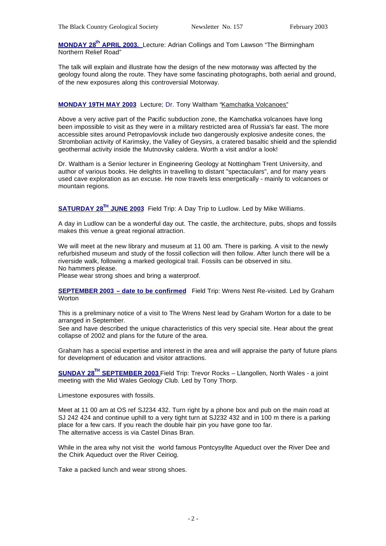**MONDAY 28th APRIL 2003.** Lecture: Adrian Collings and Tom Lawson "The Birmingham Northern Relief Road"

The talk will explain and illustrate how the design of the new motorway was affected by the geology found along the route. They have some fascinating photographs, both aerial and ground, of the new exposures along this controversial Motorway.

#### **MONDAY 19TH MAY 2003** Lecture; Dr. Tony Waltham "Kamchatka Volcanoes"

Above a very active part of the Pacific subduction zone, the Kamchatka volcanoes have long been impossible to visit as they were in a military restricted area of Russia's far east. The more accessible sites around Petropavlovsk include two dangerously explosive andesite cones, the Strombolian activity of Karimsky, the Valley of Geysirs, a cratered basaltic shield and the splendid geothermal activity inside the Mutnovsky caldera. Worth a visit and/or a look!

Dr. Waltham is a Senior lecturer in Engineering Geology at Nottingham Trent University, and author of various books. He delights in travelling to distant "spectaculars", and for many years used cave exploration as an excuse. He now travels less energetically - mainly to volcanoes or mountain regions.

**SATURDAY 28TH JUNE 2003** Field Trip: A Day Trip to Ludlow. Led by Mike Williams.

A day in Ludlow can be a wonderful day out. The castle, the architecture, pubs, shops and fossils makes this venue a great regional attraction.

We will meet at the new library and museum at 11 00 am. There is parking. A visit to the newly refurbished museum and study of the fossil collection will then follow. After lunch there will be a riverside walk, following a marked geological trail. Fossils can be observed in situ. No hammers please.

Please wear strong shoes and bring a waterproof.

**SEPTEMBER 2003 – date to be confirmed** Field Trip: Wrens Nest Re-visited. Led by Graham **Worton** 

This is a preliminary notice of a visit to The Wrens Nest lead by Graham Worton for a date to be arranged in September.

See and have described the unique characteristics of this very special site. Hear about the great collapse of 2002 and plans for the future of the area.

Graham has a special expertise and interest in the area and will appraise the party of future plans for development of education and visitor attractions.

**SUNDAY 28TH SEPTEMBER 2003** Field Trip: Trevor Rocks – Llangollen, North Wales - a joint meeting with the Mid Wales Geology Club. Led by Tony Thorp.

Limestone exposures with fossils.

Meet at 11 00 am at OS ref SJ234 432. Turn right by a phone box and pub on the main road at SJ 242 424 and continue uphill to a very tight turn at SJ232 432 and in 100 m there is a parking place for a few cars. If you reach the double hair pin you have gone too far. The alternative access is via Castel Dinas Bran.

While in the area why not visit the world famous Pontcysyllte Aqueduct over the River Dee and the Chirk Aqueduct over the River Ceiriog.

Take a packed lunch and wear strong shoes.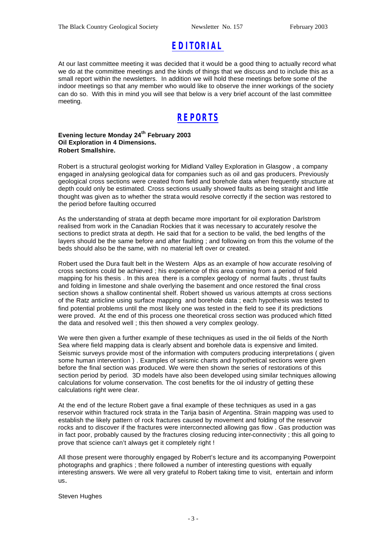# *EDITORIAL*

At our last committee meeting it was decided that it would be a good thing to actually record what we do at the committee meetings and the kinds of things that we discuss and to include this as a small report within the newsletters. In addition we will hold these meetings before some of the indoor meetings so that any member who would like to observe the inner workings of the society can do so. With this in mind you will see that below is a very brief account of the last committee meeting.

### *REPORTS*

#### **Evening lecture Monday 24th February 2003 Oil Exploration in 4 Dimensions. Robert Smallshire.**

Robert is a structural geologist working for Midland Valley Exploration in Glasgow , a company engaged in analysing geological data for companies such as oil and gas producers. Previously geological cross sections were created from field and borehole data when frequently structure at depth could only be estimated. Cross sections usually showed faults as being straight and little thought was given as to whether the strata would resolve correctly if the section was restored to the period before faulting occurred

As the understanding of strata at depth became more important for oil exploration Darlstrom realised from work in the Canadian Rockies that it was necessary to accurately resolve the sections to predict strata at depth. He said that for a section to be valid, the bed lengths of the layers should be the same before and after faulting ; and following on from this the volume of the beds should also be the same, with no material left over or created.

Robert used the Dura fault belt in the Western Alps as an example of how accurate resolving of cross sections could be achieved ; his experience of this area coming from a period of field mapping for his thesis . In this area there is a complex geology of normal faults , thrust faults and folding in limestone and shale overlying the basement and once restored the final cross section shows a shallow continental shelf. Robert showed us various attempts at cross sections of the Ratz anticline using surface mapping and borehole data ; each hypothesis was tested to find potential problems until the most likely one was tested in the field to see if its predictions were proved. At the end of this process one theoretical cross section was produced which fitted the data and resolved well ; this then showed a very complex geology.

We were then given a further example of these techniques as used in the oil fields of the North Sea where field mapping data is clearly absent and borehole data is expensive and limited. Seismic surveys provide most of the information with computers producing interpretations (given some human intervention ) . Examples of seismic charts and hypothetical sections were given before the final section was produced. We were then shown the series of restorations of this section period by period. 3D models have also been developed using similar techniques allowing calculations for volume conservation. The cost benefits for the oil industry of getting these calculations right were clear.

At the end of the lecture Robert gave a final example of these techniques as used in a gas reservoir within fractured rock strata in the Tarija basin of Argentina. Strain mapping was used to establish the likely pattern of rock fractures caused by movement and folding of the reservoir rocks and to discover if the fractures were interconnected allowing gas flow . Gas production was in fact poor, probably caused by the fractures closing reducing inter-connectivity ; this all going to prove that science can't always get it completely right !

All those present were thoroughly engaged by Robert's lecture and its accompanying Powerpoint photographs and graphics ; there followed a number of interesting questions with equally interesting answers. We were all very grateful to Robert taking time to visit, entertain and inform us.

Steven Hughes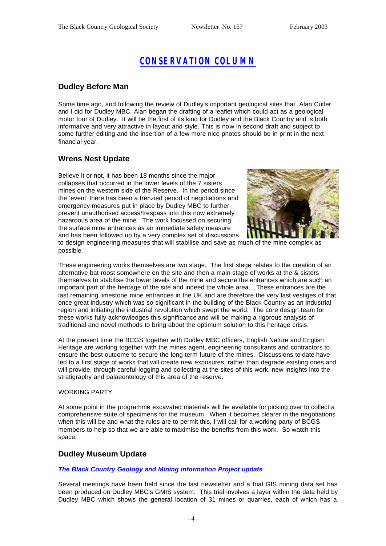# *CONSERVATION COLUMN*

### **Dudley Before Man**

Some time ago, and following the review of Dudley's important geological sites that Alan Cutler and I did for Dudley MBC, Alan began the drafting of a leaflet which could act as a geological motor tour of Dudley. It will be the first of its kind for Dudley and the Black Country and is both informative and very attractive in layout and style. This is now in second draft and subject to some further editing and the insertion of a few more nice photos should be in print in the next financial year.

### **Wrens Nest Update**

Believe it or not, it has been 18 months since the major collapses that occurred in the lower levels of the 7 sisters mines on the western side of the Reserve. In the period since the 'event' there has been a frenzied period of negotiations and emergency measures put in place by Dudley MBC to further prevent unauthorised access/trespass into this now extremely hazardous area of the mine. The work focussed on securing the surface mine entrances as an immediate safety measure and has been followed up by a very complex set of discussions



to design engineering measures that will stabilise and save as much of the mine complex as possible.

These engineering works themselves are two stage. The first stage relates to the creation of an alternative bat roost somewhere on the site and then a main stage of works at the & sisters themselves to stabilise the lower levels of the mine and secure the entrances which are such an important part of the heritage of the site and indeed the whole area. These entrances are the last remaining limestone mine entrances in the UK and are therefore the very last vestiges of that once great industry which was so significant in the building of the Black Country as an industrial region and initiating the industrial revolution which swept the world. The core design team for these works fully acknowledges this significance and will be making a rigorous analysis of traditional and novel methods to bring about the optimum solution to this heritage crisis.

At the present time the BCGS together with Dudley MBC officers, English Nature and English Heritage are working together with the mines agent, engineering consultants and contractors to ensure the best outcome to secure the long term future of the mines. Discussions to-date have led to a first stage of works that will create new exposures, rather than degrade existing ones and will provide, through careful logging and collecting at the sites of this work, new insights into the stratigraphy and palaeontology of this area of the reserve.

#### WORKING PARTY

At some point in the programme excavated materials will be available for picking over to collect a comprehensive suite of specimens for the museum. When it becomes clearer in the negotiations when this will be and what the rules are to permit this, I will call for a working party of BCGS members to help so that we are able to maximise the benefits from this work. So watch this space.

### **Dudley Museum Update**

#### *The Black Country Geology and Mining information Project update*

Several meetings have been held since the last newsletter and a trial GIS mining data set has been produced on Dudley MBC's GMIS system. This trial involves a layer within the data held by Dudley MBC which shows the general location of 31 mines or quarries, each of which has a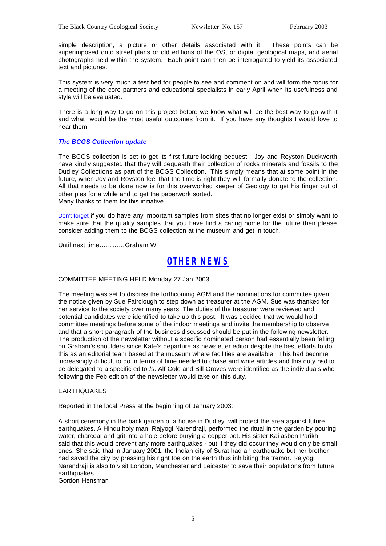simple description, a picture or other details associated with it. These points can be superimposed onto street plans or old editions of the OS, or digital geological maps, and aerial photographs held within the system. Each point can then be interrogated to yield its associated text and pictures.

This system is very much a test bed for people to see and comment on and will form the focus for a meeting of the core partners and educational specialists in early April when its usefulness and style will be evaluated.

There is a long way to go on this project before we know what will be the best way to go with it and what would be the most useful outcomes from it. If you have any thoughts I would love to hear them.

#### *The BCGS Collection update*

The BCGS collection is set to get its first future-looking bequest. Joy and Royston Duckworth have kindly suggested that they will bequeath their collection of rocks minerals and fossils to the Dudley Collections as part of the BCGS Collection. This simply means that at some point in the future, when Joy and Royston feel that the time is right they will formally donate to the collection. All that needs to be done now is for this overworked keeper of Geology to get his finger out of other pies for a while and to get the paperwork sorted. Many thanks to them for this initiative.

Don't forget if you do have any important samples from sites that no longer exist or simply want to make sure that the quality samples that you have find a caring home for the future then please consider adding them to the BCGS collection at the museum and get in touch.

Until next time…………Graham W

### *OTHER NEWS*

#### COMMITTEE MEETING HELD Monday 27 Jan 2003

The meeting was set to discuss the forthcoming AGM and the nominations for committee given the notice given by Sue Fairclough to step down as treasurer at the AGM. Sue was thanked for her service to the society over many years. The duties of the treasurer were reviewed and potential candidates were identified to take up this post. It was decided that we would hold committee meetings before some of the indoor meetings and invite the membership to observe and that a short paragraph of the business discussed should be put in the following newsletter. The production of the newsletter without a specific nominated person had essentially been falling on Graham's shoulders since Kate's departure as newsletter editor despite the best efforts to do this as an editorial team based at the museum where facilities are available. This had become increasingly difficult to do in terms of time needed to chase and write articles and this duty had to be delegated to a specific editor/s. Alf Cole and Bill Groves were identified as the individuals who following the Feb edition of the newsletter would take on this duty.

#### EARTHQUAKES

Reported in the local Press at the beginning of January 2003:

A short ceremony in the back garden of a house in Dudley will protect the area against future earthquakes. A Hindu holy man, Rajyogi Narendraji, performed the ritual in the garden by pouring water, charcoal and grit into a hole before burying a copper pot. His sister Kailasben Parikh said that this would prevent any more earthquakes - but if they did occur they would only be small ones. She said that in January 2001, the Indian city of Surat had an earthquake but her brother had saved the city by pressing his right toe on the earth thus inhibiting the tremor. Rajyogi Narendraji is also to visit London, Manchester and Leicester to save their populations from future earthquakes.

Gordon Hensman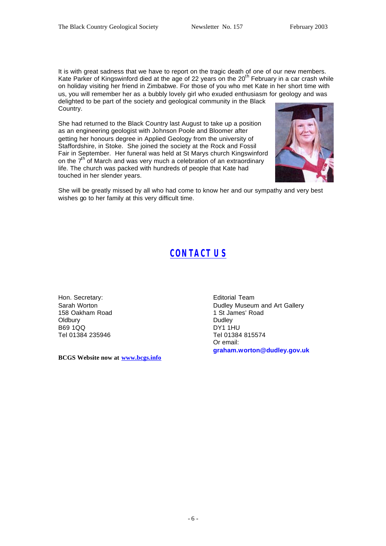It is with great sadness that we have to report on the tragic death of one of our new members. Kate Parker of Kingswinford died at the age of 22 years on the 20<sup>th</sup> February in a car crash while on holiday visiting her friend in Zimbabwe. For those of you who met Kate in her short time with us, you will remember her as a bubbly lovely girl who exuded enthusiasm for geology and was delighted to be part of the society and geological community in the Black Country.

She had returned to the Black Country last August to take up a position as an engineering geologist with Johnson Poole and Bloomer after getting her honours degree in Applied Geology from the university of Staffordshire, in Stoke. She joined the society at the Rock and Fossil Fair in September. Her funeral was held at St Marys church Kingswinford on the 7<sup>th of</sup> March and was very much a celebration of an extraordinary life. The church was packed with hundreds of people that Kate had touched in her slender years.



She will be greatly missed by all who had come to know her and our sympathy and very best wishes go to her family at this very difficult time.

# *CONTACT US*

Hon. Secretary: Sarah Worton 158 Oakham Road **Oldbury** B69 1QQ Tel 01384 235946

**BCGS Website now at www.bcgs.info**

Editorial Team Dudley Museum and Art Gallery 1 St James' Road Dudley DY1 1HU Tel 01384 815574 Or email: **graham.worton@dudley.gov.uk**